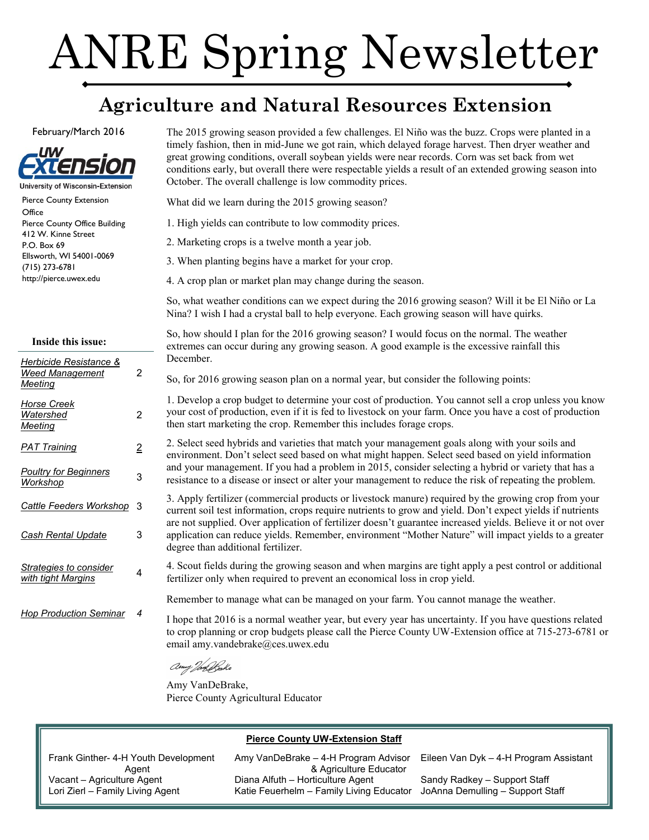# ANRE Spring Newsletter

# **Agriculture and Natural Resources Extension**

#### February/March 2016



Pierce County Extension **Office** Pierce County Office Building 412 W. Kinne Street P.O. Box 69 Ellsworth, WI 54001-0069 (715) 273-6781 http://pierce.uwex.edu

#### **Inside this issue:**

| Herbicide Resistance &<br><b>Weed Management</b><br>Meeting | 2              |
|-------------------------------------------------------------|----------------|
| Horse Creek<br>Watershed<br>Meeting                         | 2              |
| <b>PAT Training</b>                                         | $\overline{2}$ |
| <b>Poultry for Beginners</b><br>Workshop                    | 3              |
| Cattle Feeders Workshop                                     | 3              |
| <u>Cash Rental Update</u>                                   | 3              |
| Strategies to consider<br>with tight Margins                | 4              |
| <b>Hop Production Seminar</b>                               | 4              |

The 2015 growing season provided a few challenges. El Niño was the buzz. Crops were planted in a timely fashion, then in mid-June we got rain, which delayed forage harvest. Then dryer weather and great growing conditions, overall soybean yields were near records. Corn was set back from wet conditions early, but overall there were respectable yields a result of an extended growing season into October. The overall challenge is low commodity prices.

What did we learn during the 2015 growing season?

- 1. High yields can contribute to low commodity prices.
- 2. Marketing crops is a twelve month a year job.
- 3. When planting begins have a market for your crop.
- 4. A crop plan or market plan may change during the season.

So, what weather conditions can we expect during the 2016 growing season? Will it be El Niño or La Nina? I wish I had a crystal ball to help everyone. Each growing season will have quirks.

So, how should I plan for the 2016 growing season? I would focus on the normal. The weather extremes can occur during any growing season. A good example is the excessive rainfall this December.

So, for 2016 growing season plan on a normal year, but consider the following points:

1. Develop a crop budget to determine your cost of production. You cannot sell a crop unless you know your cost of production, even if it is fed to livestock on your farm. Once you have a cost of production then start marketing the crop. Remember this includes forage crops.

2. Select seed hybrids and varieties that match your management goals along with your soils and environment. Don't select seed based on what might happen. Select seed based on yield information and your management. If you had a problem in 2015, consider selecting a hybrid or variety that has a resistance to a disease or insect or alter your management to reduce the risk of repeating the problem.

3. Apply fertilizer (commercial products or livestock manure) required by the growing crop from your current soil test information, crops require nutrients to grow and yield. Don't expect yields if nutrients are not supplied. Over application of fertilizer doesn't guarantee increased yields. Believe it or not over application can reduce yields. Remember, environment "Mother Nature" will impact yields to a greater degree than additional fertilizer.

4. Scout fields during the growing season and when margins are tight apply a pest control or additional fertilizer only when required to prevent an economical loss in crop yield.

Remember to manage what can be managed on your farm. You cannot manage the weather.

I hope that 2016 is a normal weather year, but every year has uncertainty. If you have questions related to crop planning or crop budgets please call the Pierce County UW-Extension office at 715-273-6781 or email amy.vandebrake@ces.uwex.edu

amy Tan Strake

Amy VanDeBrake, Pierce County Agricultural Educator

#### **Pierce County UW-Extension Staff**

Frank Ginther- 4-H Youth Development Agent Vacant – Agriculture Agent Lori Zierl – Family Living Agent

Amy VanDeBrake – 4-H Program Advisor & Agriculture Educator Diana Alfuth – Horticulture Agent Katie Feuerhelm – Family Living Educator

Eileen Van Dyk – 4-H Program Assistant

Sandy Radkey – Support Staff JoAnna Demulling – Support Staff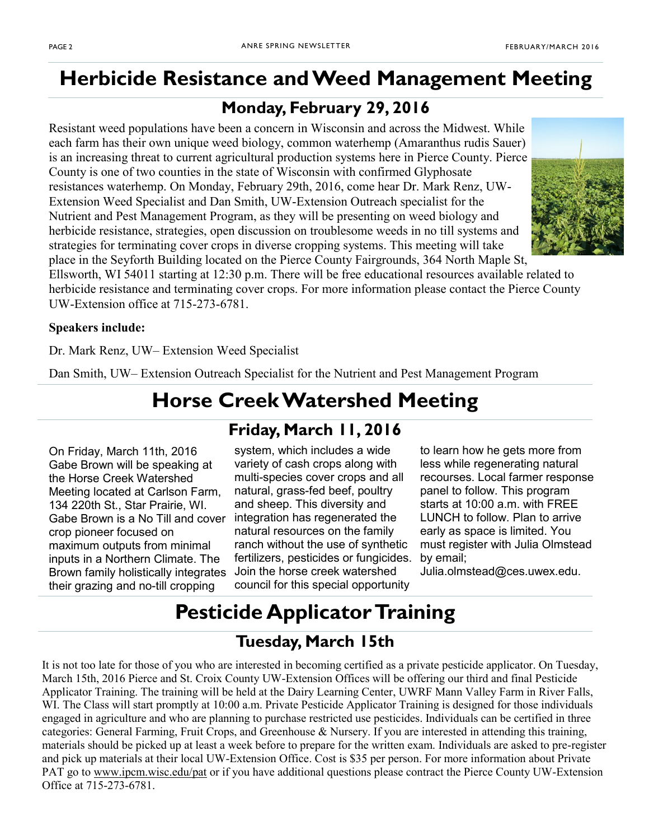# <span id="page-1-0"></span>**Herbicide Resistance and Weed Management Meeting**

## **Monday, February 29, 2016**

Resistant weed populations have been a concern in Wisconsin and across the Midwest. While each farm has their own unique weed biology, common waterhemp (Amaranthus rudis Sauer) is an increasing threat to current agricultural production systems here in Pierce County. Pierce County is one of two counties in the state of Wisconsin with confirmed Glyphosate resistances waterhemp. On Monday, February 29th, 2016, come hear Dr. Mark Renz, UW-Extension Weed Specialist and Dan Smith, UW-Extension Outreach specialist for the Nutrient and Pest Management Program, as they will be presenting on weed biology and herbicide resistance, strategies, open discussion on troublesome weeds in no till systems and strategies for terminating cover crops in diverse cropping systems. This meeting will take place in the Seyforth Building located on the Pierce County Fairgrounds, 364 North Maple St,



Ellsworth, WI 54011 starting at 12:30 p.m. There will be free educational resources available related to herbicide resistance and terminating cover crops. For more information please contact the Pierce County UW-Extension office at 715-273-6781.

## **Speakers include:**

Dr. Mark Renz, UW– Extension Weed Specialist

Dan Smith, UW– Extension Outreach Specialist for the Nutrient and Pest Management Program

# **Horse Creek Watershed Meeting**

On Friday, March 11th, 2016 Gabe Brown will be speaking at the Horse Creek Watershed Meeting located at Carlson Farm, 134 220th St., Star Prairie, WI. Gabe Brown is a No Till and cover crop pioneer focused on maximum outputs from minimal inputs in a Northern Climate. The Brown family holistically integrates their grazing and no-till cropping

# **Friday, March 11, 2016**

system, which includes a wide variety of cash crops along with multi-species cover crops and all natural, grass-fed beef, poultry and sheep. This diversity and integration has regenerated the natural resources on the family ranch without the use of synthetic fertilizers, pesticides or fungicides. Join the horse creek watershed council for this special opportunity

to learn how he gets more from less while regenerating natural recourses. Local farmer response panel to follow. This program starts at 10:00 a.m. with FREE LUNCH to follow. Plan to arrive early as space is limited. You must register with Julia Olmstead by email;

Julia.olmstead@ces.uwex.edu.

# **Pesticide Applicator Training**

## **Tuesday, March 15th**

It is not too late for those of you who are interested in becoming certified as a private pesticide applicator. On Tuesday, March 15th, 2016 Pierce and St. Croix County UW-Extension Offices will be offering our third and final Pesticide Applicator Training. The training will be held at the Dairy Learning Center, UWRF Mann Valley Farm in River Falls, WI. The Class will start promptly at 10:00 a.m. Private Pesticide Applicator Training is designed for those individuals engaged in agriculture and who are planning to purchase restricted use pesticides. Individuals can be certified in three categories: General Farming, Fruit Crops, and Greenhouse & Nursery. If you are interested in attending this training, materials should be picked up at least a week before to prepare for the written exam. Individuals are asked to pre-register and pick up materials at their local UW-Extension Office. Cost is \$35 per person. For more information about Private PAT go to [www.ipcm.wisc.edu/pat](http://www.ipcm.wisc.edu/pat) or if you have additional questions please contract the Pierce County UW-Extension Office at 715-273-6781.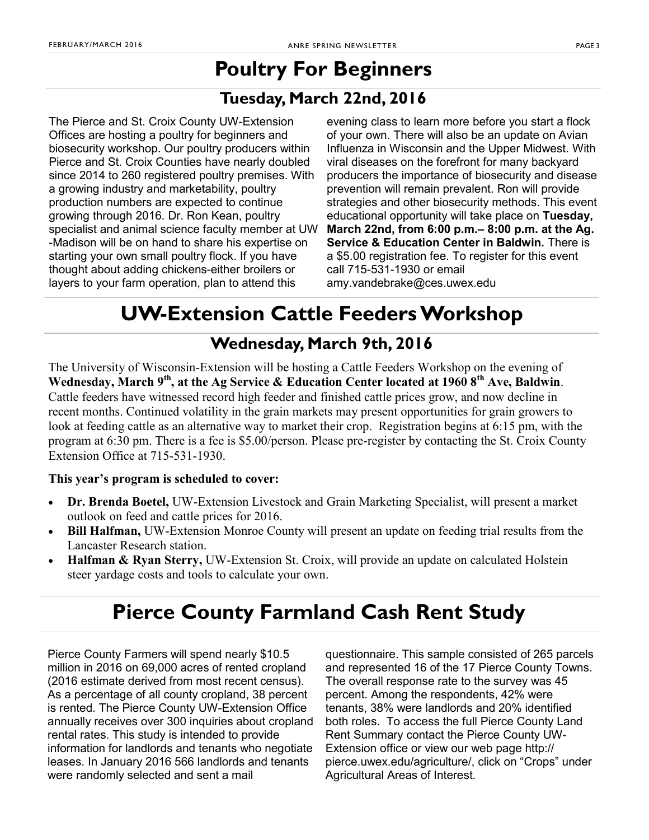# **Poultry For Beginners**

## **Tuesday, March 22nd, 2016**

<span id="page-2-0"></span>The Pierce and St. Croix County UW-Extension Offices are hosting a poultry for beginners and biosecurity workshop. Our poultry producers within Pierce and St. Croix Counties have nearly doubled since 2014 to 260 registered poultry premises. With a growing industry and marketability, poultry production numbers are expected to continue growing through 2016. Dr. Ron Kean, poultry specialist and animal science faculty member at UW -Madison will be on hand to share his expertise on starting your own small poultry flock. If you have thought about adding chickens-either broilers or layers to your farm operation, plan to attend this

evening class to learn more before you start a flock of your own. There will also be an update on Avian Influenza in Wisconsin and the Upper Midwest. With viral diseases on the forefront for many backyard producers the importance of biosecurity and disease prevention will remain prevalent. Ron will provide strategies and other biosecurity methods. This event educational opportunity will take place on **Tuesday, March 22nd, from 6:00 p.m.– 8:00 p.m. at the Ag. Service & Education Center in Baldwin.** There is a \$5.00 registration fee. To register for this event call 715-531-1930 or email amy.vandebrake@ces.uwex.edu

# **UW-Extension Cattle Feeders Workshop**

## **Wednesday, March 9th, 2016**

The University of Wisconsin-Extension will be hosting a Cattle Feeders Workshop on the evening of **Wednesday, March 9th, at the Ag Service & Education Center located at 1960 8th Ave, Baldwin**. Cattle feeders have witnessed record high feeder and finished cattle prices grow, and now decline in recent months. Continued volatility in the grain markets may present opportunities for grain growers to look at feeding cattle as an alternative way to market their crop. Registration begins at 6:15 pm, with the program at 6:30 pm. There is a fee is \$5.00/person. Please pre-register by contacting the St. Croix County Extension Office at 715-531-1930.

## **This year's program is scheduled to cover:**

- **Dr. Brenda Boetel,** UW-Extension Livestock and Grain Marketing Specialist, will present a market outlook on feed and cattle prices for 2016.
- Bill Halfman, UW-Extension Monroe County will present an update on feeding trial results from the Lancaster Research station.
- **Halfman & Ryan Sterry,** UW-Extension St. Croix, will provide an update on calculated Holstein steer yardage costs and tools to calculate your own.

# **Pierce County Farmland Cash Rent Study**

Pierce County Farmers will spend nearly \$10.5 million in 2016 on 69,000 acres of rented cropland (2016 estimate derived from most recent census). As a percentage of all county cropland, 38 percent is rented. The Pierce County UW-Extension Office annually receives over 300 inquiries about cropland rental rates. This study is intended to provide information for landlords and tenants who negotiate leases. In January 2016 566 landlords and tenants were randomly selected and sent a mail

questionnaire. This sample consisted of 265 parcels and represented 16 of the 17 Pierce County Towns. The overall response rate to the survey was 45 percent. Among the respondents, 42% were tenants, 38% were landlords and 20% identified both roles. To access the full Pierce County Land Rent Summary contact the Pierce County UW-Extension office or view our web page http:// pierce.uwex.edu/agriculture/, click on "Crops" under Agricultural Areas of Interest.